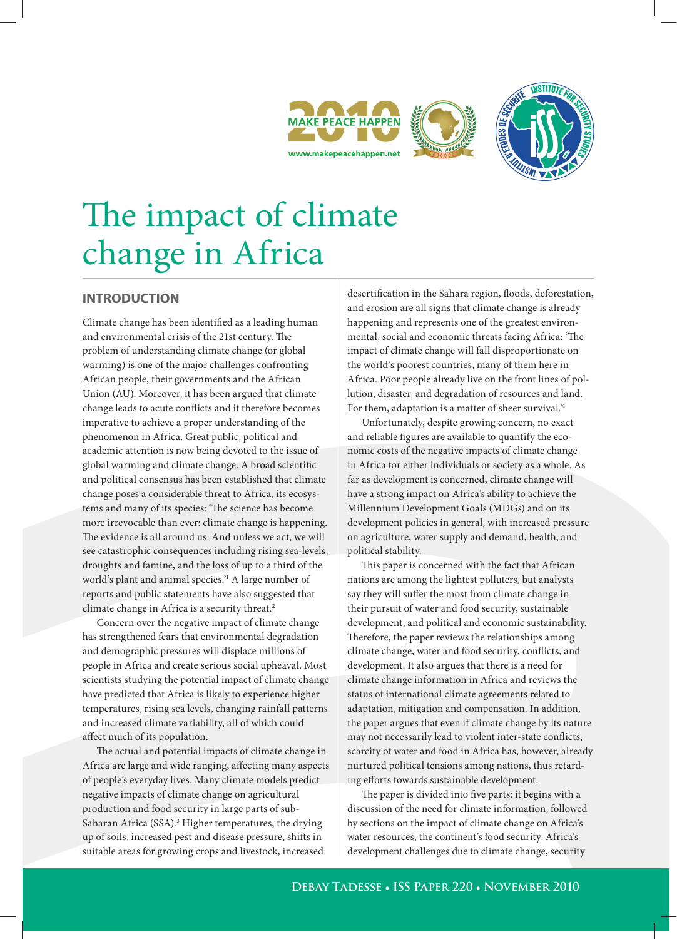





# The impact of climate change in Africa

# **INTRODUCTION**

Climate change has been identified as a leading human and environmental crisis of the 21st century. The problem of understanding climate change (or global warming) is one of the major challenges confronting African people, their governments and the African Union (AU). Moreover, it has been argued that climate change leads to acute conflicts and it therefore becomes imperative to achieve a proper understanding of the phenomenon in Africa. Great public, political and academic attention is now being devoted to the issue of global warming and climate change. A broad scientific and political consensus has been established that climate change poses a considerable threat to Africa, its ecosystems and many of its species: 'The science has become more irrevocable than ever: climate change is happening. The evidence is all around us. And unless we act, we will see catastrophic consequences including rising sea-levels, droughts and famine, and the loss of up to a third of the world's plant and animal species.'1 A large number of reports and public statements have also suggested that climate change in Africa is a security threat.<sup>2</sup>

Concern over the negative impact of climate change has strengthened fears that environmental degradation and demographic pressures will displace millions of people in Africa and create serious social upheaval. Most scientists studying the potential impact of climate change have predicted that Africa is likely to experience higher temperatures, rising sea levels, changing rainfall patterns and increased climate variability, all of which could affect much of its population.

The actual and potential impacts of climate change in Africa are large and wide ranging, affecting many aspects of people's everyday lives. Many climate models predict negative impacts of climate change on agricultural production and food security in large parts of sub-Saharan Africa (SSA).<sup>3</sup> Higher temperatures, the drying up of soils, increased pest and disease pressure, shifts in suitable areas for growing crops and livestock, increased

desertification in the Sahara region, floods, deforestation, and erosion are all signs that climate change is already happening and represents one of the greatest environmental, social and economic threats facing Africa: 'The impact of climate change will fall disproportionate on the world's poorest countries, many of them here in Africa. Poor people already live on the front lines of pollution, disaster, and degradation of resources and land. For them, adaptation is a matter of sheer survival.'4

Unfortunately, despite growing concern, no exact and reliable figures are available to quantify the economic costs of the negative impacts of climate change in Africa for either individuals or society as a whole. As far as development is concerned, climate change will have a strong impact on Africa's ability to achieve the Millennium Development Goals (MDGs) and on its development policies in general, with increased pressure on agriculture, water supply and demand, health, and political stability.

This paper is concerned with the fact that African nations are among the lightest polluters, but analysts say they will suffer the most from climate change in their pursuit of water and food security, sustainable development, and political and economic sustainability. Therefore, the paper reviews the relationships among climate change, water and food security, conflicts, and development. It also argues that there is a need for climate change information in Africa and reviews the status of international climate agreements related to adaptation, mitigation and compensation. In addition, the paper argues that even if climate change by its nature may not necessarily lead to violent inter-state conflicts, scarcity of water and food in Africa has, however, already nurtured political tensions among nations, thus retarding efforts towards sustainable development.

The paper is divided into five parts: it begins with a discussion of the need for climate information, followed by sections on the impact of climate change on Africa's water resources, the continent's food security, Africa's development challenges due to climate change, security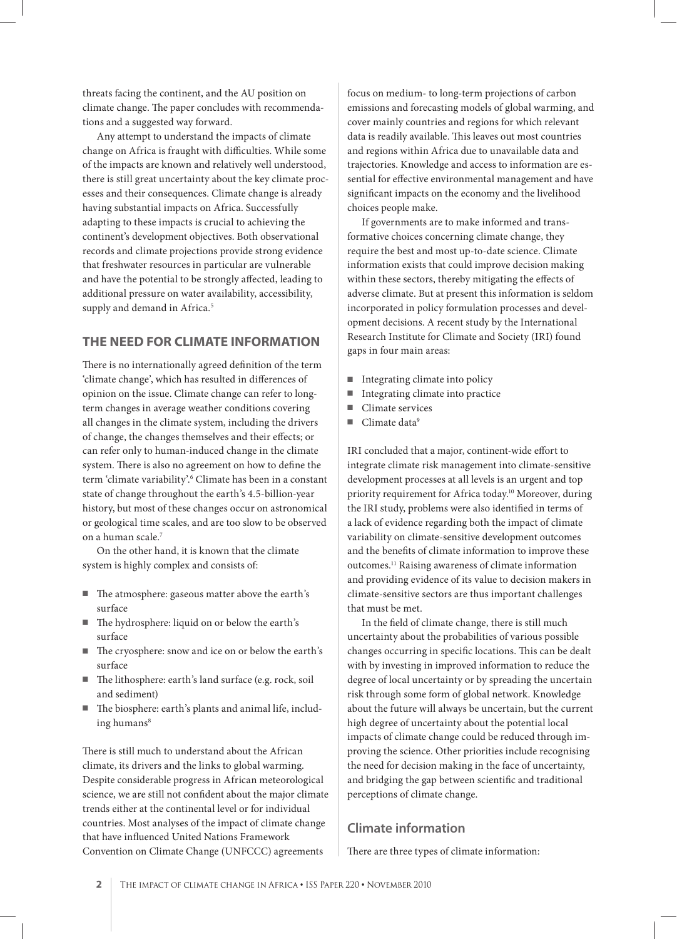threats facing the continent, and the AU position on climate change. The paper concludes with recommendations and a suggested way forward.

Any attempt to understand the impacts of climate change on Africa is fraught with difficulties. While some of the impacts are known and relatively well understood, there is still great uncertainty about the key climate processes and their consequences. Climate change is already having substantial impacts on Africa. Successfully adapting to these impacts is crucial to achieving the continent's development objectives. Both observational records and climate projections provide strong evidence that freshwater resources in particular are vulnerable and have the potential to be strongly affected, leading to additional pressure on water availability, accessibility, supply and demand in Africa.<sup>5</sup>

#### **THE NEED FOR CLIMATE INFORMATION**

There is no internationally agreed definition of the term 'climate change', which has resulted in differences of opinion on the issue. Climate change can refer to longterm changes in average weather conditions covering all changes in the climate system, including the drivers of change, the changes themselves and their effects; or can refer only to human-induced change in the climate system. There is also no agreement on how to define the term 'climate variability'.<sup>6</sup> Climate has been in a constant state of change throughout the earth's 4.5-billion-year history, but most of these changes occur on astronomical or geological time scales, and are too slow to be observed on a human scale.7

On the other hand, it is known that the climate system is highly complex and consists of:

- The atmosphere: gaseous matter above the earth's surface
- The hydrosphere: liquid on or below the earth's surface
- The cryosphere: snow and ice on or below the earth's surface
- The lithosphere: earth's land surface (e.g. rock, soil and sediment)
- The biosphere: earth's plants and animal life, including humans<sup>8</sup>

There is still much to understand about the African climate, its drivers and the links to global warming. Despite considerable progress in African meteorological science, we are still not confident about the major climate trends either at the continental level or for individual countries. Most analyses of the impact of climate change that have influenced United Nations Framework Convention on Climate Change (UNFCCC) agreements

focus on medium- to long-term projections of carbon emissions and forecasting models of global warming, and cover mainly countries and regions for which relevant data is readily available. This leaves out most countries and regions within Africa due to unavailable data and trajectories. Knowledge and access to information are essential for effective environmental management and have significant impacts on the economy and the livelihood choices people make.

If governments are to make informed and transformative choices concerning climate change, they require the best and most up-to-date science. Climate information exists that could improve decision making within these sectors, thereby mitigating the effects of adverse climate. But at present this information is seldom incorporated in policy formulation processes and development decisions. A recent study by the International Research Institute for Climate and Society (IRI) found gaps in four main areas:

- Integrating climate into policy
- Integrating climate into practice
- Climate services
- $\blacksquare$  Climate data<sup>9</sup>

IRI concluded that a major, continent-wide effort to integrate climate risk management into climate-sensitive development processes at all levels is an urgent and top priority requirement for Africa today.10 Moreover, during the IRI study, problems were also identified in terms of a lack of evidence regarding both the impact of climate variability on climate-sensitive development outcomes and the benefits of climate information to improve these outcomes.11 Raising awareness of climate information and providing evidence of its value to decision makers in climate-sensitive sectors are thus important challenges that must be met.

In the field of climate change, there is still much uncertainty about the probabilities of various possible changes occurring in specific locations. This can be dealt with by investing in improved information to reduce the degree of local uncertainty or by spreading the uncertain risk through some form of global network. Knowledge about the future will always be uncertain, but the current high degree of uncertainty about the potential local impacts of climate change could be reduced through improving the science. Other priorities include recognising the need for decision making in the face of uncertainty, and bridging the gap between scientific and traditional perceptions of climate change.

# **Climate information**

There are three types of climate information: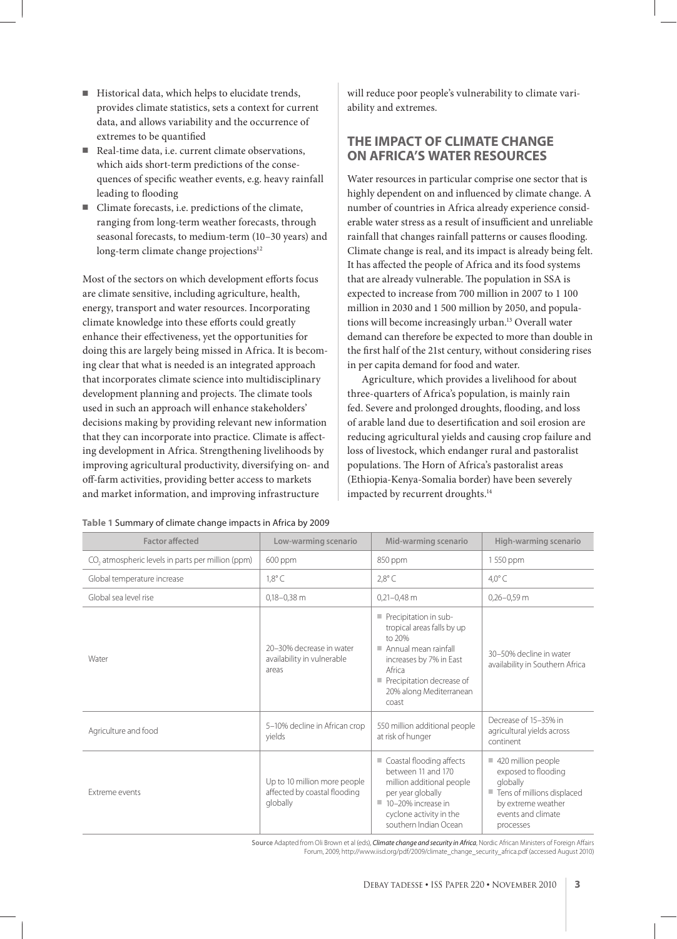- Historical data, which helps to elucidate trends, provides climate statistics, sets a context for current data, and allows variability and the occurrence of extremes to be quantified
- Real-time data, i.e. current climate observations, which aids short-term predictions of the consequences of specific weather events, e.g. heavy rainfall leading to flooding
- Climate forecasts, i.e. predictions of the climate, ranging from long-term weather forecasts, through seasonal forecasts, to medium-term (10–30 years) and long-term climate change projections<sup>12</sup>

Most of the sectors on which development efforts focus are climate sensitive, including agriculture, health, energy, transport and water resources. Incorporating climate knowledge into these efforts could greatly enhance their effectiveness, yet the opportunities for doing this are largely being missed in Africa. It is becoming clear that what is needed is an integrated approach that incorporates climate science into multidisciplinary development planning and projects. The climate tools used in such an approach will enhance stakeholders' decisions making by providing relevant new information that they can incorporate into practice. Climate is affecting development in Africa. Strengthening livelihoods by improving agricultural productivity, diversifying on- and off -farm activities, providing better access to markets and market information, and improving infrastructure

will reduce poor people's vulnerability to climate variability and extremes.

# **THE IMPACT OF CLIMATE CHANGE ON AFRICA'S WATER RESOURCES**

Water resources in particular comprise one sector that is highly dependent on and influenced by climate change. A number of countries in Africa already experience considerable water stress as a result of insufficient and unreliable rainfall that changes rainfall patterns or causes flooding. Climate change is real, and its impact is already being felt. It has affected the people of Africa and its food systems that are already vulnerable. The population in SSA is expected to increase from 700 million in 2007 to 1 100 million in 2030 and 1 500 million by 2050, and populations will become increasingly urban.<sup>13</sup> Overall water demand can therefore be expected to more than double in the first half of the 21st century, without considering rises in per capita demand for food and water.

Agriculture, which provides a livelihood for about three-quarters of Africa's population, is mainly rain fed. Severe and prolonged droughts, flooding, and loss of arable land due to desertification and soil erosion are reducing agricultural yields and causing crop failure and loss of livestock, which endanger rural and pastoralist populations. The Horn of Africa's pastoralist areas (Ethiopia-Kenya-Somalia border) have been severely impacted by recurrent droughts.<sup>14</sup>

| <b>Factor affected</b>                                        | Low-warming scenario                                                     | Mid-warming scenario                                                                                                                                                                        | <b>High-warming scenario</b>                                                                                                                 |
|---------------------------------------------------------------|--------------------------------------------------------------------------|---------------------------------------------------------------------------------------------------------------------------------------------------------------------------------------------|----------------------------------------------------------------------------------------------------------------------------------------------|
| CO <sub>2</sub> atmospheric levels in parts per million (ppm) | 600 ppm                                                                  | 850 ppm                                                                                                                                                                                     | 1 550 ppm                                                                                                                                    |
| Global temperature increase                                   | $1,8^{\circ}$ C                                                          | $2.8^{\circ}$ C                                                                                                                                                                             | $4.0^{\circ}$ C                                                                                                                              |
| Global sea level rise                                         | $0,18-0,38$ m                                                            | $0,21-0,48$ m                                                                                                                                                                               | $0,26 - 0.59$ m                                                                                                                              |
| Water                                                         | 20-30% decrease in water<br>availability in vulnerable<br>areas          | Precipitation in sub-<br>tropical areas falls by up<br>to 20%<br>Annual mean rainfall<br>increases by 7% in East<br>Africa<br>Precipitation decrease of<br>20% along Mediterranean<br>coast | 30-50% decline in water<br>availability in Southern Africa                                                                                   |
| Agriculture and food                                          | 5-10% decline in African crop<br>yields                                  | 550 million additional people<br>at risk of hunger                                                                                                                                          | Decrease of 15-35% in<br>agricultural yields across<br>continent                                                                             |
| <b>Extreme events</b>                                         | Up to 10 million more people<br>affected by coastal flooding<br>globally | Coastal flooding affects<br>u.<br>between 11 and 170<br>million additional people<br>per year globally<br>$10-20%$ increase in<br>cyclone activity in the<br>southern Indian Ocean          | 420 million people<br>exposed to flooding<br>globally<br>Tens of millions displaced<br>by extreme weather<br>events and climate<br>processes |

**Table 1** Summary of climate change impacts in Africa by 2009

Source Adapted from Oli Brown et al (eds), *Climate change and security in Africa*, Nordic African Ministers of Foreign Affairs Forum, 2009, http://www.iisd.org/pdf/2009/climate\_change\_security\_africa.pdf (accessed August 2010)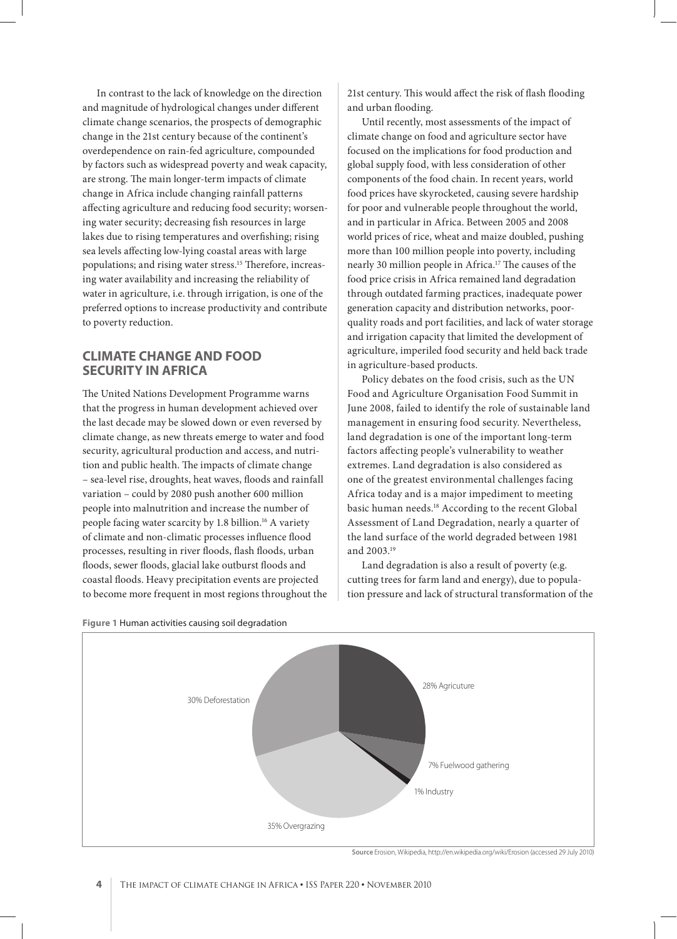In contrast to the lack of knowledge on the direction and magnitude of hydrological changes under different climate change scenarios, the prospects of demographic change in the 21st century because of the continent's overdependence on rain-fed agriculture, compounded by factors such as widespread poverty and weak capacity, are strong. The main longer-term impacts of climate change in Africa include changing rainfall patterns affecting agriculture and reducing food security; worsening water security; decreasing fish resources in large lakes due to rising temperatures and overfishing; rising sea levels affecting low-lying coastal areas with large populations; and rising water stress.<sup>15</sup> Therefore, increasing water availability and increasing the reliability of water in agriculture, i.e. through irrigation, is one of the preferred options to increase productivity and contribute to poverty reduction.

## **CLIMATE CHANGE AND FOOD SECURITY IN AFRICA**

The United Nations Development Programme warns that the progress in human development achieved over the last decade may be slowed down or even reversed by climate change, as new threats emerge to water and food security, agricultural production and access, and nutrition and public health. The impacts of climate change – sea-level rise, droughts, heat waves, floods and rainfall variation – could by 2080 push another 600 million people into malnutrition and increase the number of people facing water scarcity by 1.8 billion.16 A variety of climate and non-climatic processes influence flood processes, resulting in river floods, flash floods, urban floods, sewer floods, glacial lake outburst floods and coastal floods. Heavy precipitation events are projected to become more frequent in most regions throughout the

21st century. This would affect the risk of flash flooding and urban flooding.

Until recently, most assessments of the impact of climate change on food and agriculture sector have focused on the implications for food production and global supply food, with less consideration of other components of the food chain. In recent years, world food prices have skyrocketed, causing severe hardship for poor and vulnerable people throughout the world, and in particular in Africa. Between 2005 and 2008 world prices of rice, wheat and maize doubled, pushing more than 100 million people into poverty, including nearly 30 million people in Africa.<sup>17</sup> The causes of the food price crisis in Africa remained land degradation through outdated farming practices, inadequate power generation capacity and distribution networks, poorquality roads and port facilities, and lack of water storage and irrigation capacity that limited the development of agriculture, imperiled food security and held back trade in agriculture-based products.

Policy debates on the food crisis, such as the UN Food and Agriculture Organisation Food Summit in June 2008, failed to identify the role of sustainable land management in ensuring food security. Nevertheless, land degradation is one of the important long-term factors affecting people's vulnerability to weather extremes. Land degradation is also considered as one of the greatest environmental challenges facing Africa today and is a major impediment to meeting basic human needs.18 According to the recent Global Assessment of Land Degradation, nearly a quarter of the land surface of the world degraded between 1981 and 2003.19

Land degradation is also a result of poverty (e.g. cutting trees for farm land and energy), due to population pressure and lack of structural transformation of the



**Figure 1** Human activities causing soil degradation

**Source** Erosion, Wikipedia, http://en.wikipedia.org/wiki/Erosion (accessed 29 July 2010)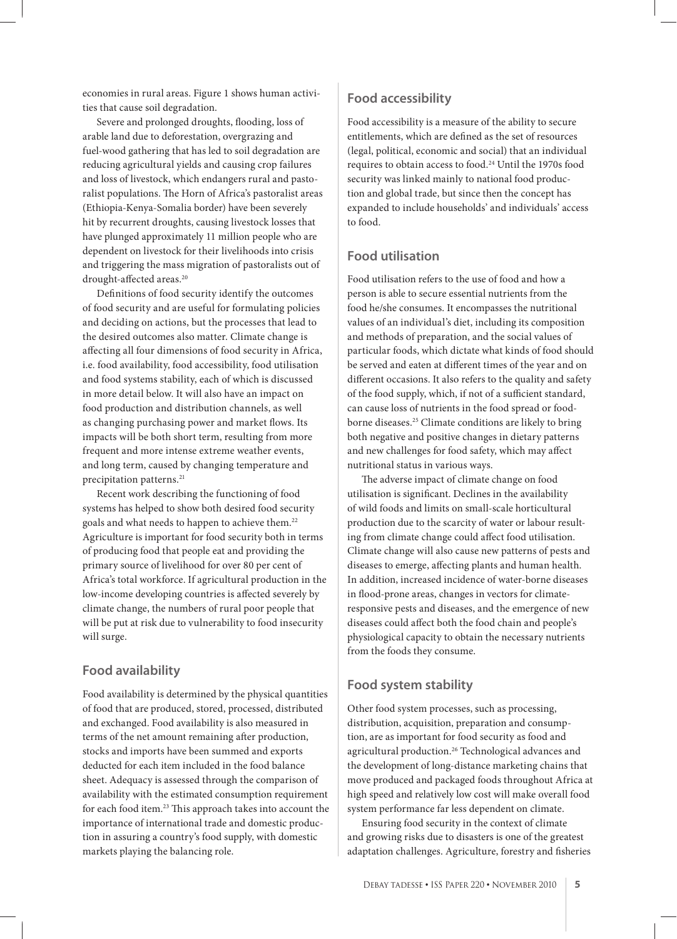economies in rural areas. Figure 1 shows human activities that cause soil degradation.

Severe and prolonged droughts, flooding, loss of arable land due to deforestation, overgrazing and fuel-wood gathering that has led to soil degradation are reducing agricultural yields and causing crop failures and loss of livestock, which endangers rural and pastoralist populations. The Horn of Africa's pastoralist areas (Ethiopia-Kenya-Somalia border) have been severely hit by recurrent droughts, causing livestock losses that have plunged approximately 11 million people who are dependent on livestock for their livelihoods into crisis and triggering the mass migration of pastoralists out of drought-affected areas.<sup>20</sup>

Definitions of food security identify the outcomes of food security and are useful for formulating policies and deciding on actions, but the processes that lead to the desired outcomes also matter. Climate change is affecting all four dimensions of food security in Africa, i.e. food availability, food accessibility, food utilisation and food systems stability, each of which is discussed in more detail below. It will also have an impact on food production and distribution channels, as well as changing purchasing power and market flows. Its impacts will be both short term, resulting from more frequent and more intense extreme weather events, and long term, caused by changing temperature and precipitation patterns.<sup>21</sup>

Recent work describing the functioning of food systems has helped to show both desired food security goals and what needs to happen to achieve them.22 Agriculture is important for food security both in terms of producing food that people eat and providing the primary source of livelihood for over 80 per cent of Africa's total workforce. If agricultural production in the low-income developing countries is affected severely by climate change, the numbers of rural poor people that will be put at risk due to vulnerability to food insecurity will surge.

#### **Food availability**

Food availability is determined by the physical quantities of food that are produced, stored, processed, distributed and exchanged. Food availability is also measured in terms of the net amount remaining after production, stocks and imports have been summed and exports deducted for each item included in the food balance sheet. Adequacy is assessed through the comparison of availability with the estimated consumption requirement for each food item.<sup>23</sup> This approach takes into account the importance of international trade and domestic production in assuring a country's food supply, with domestic markets playing the balancing role.

#### **Food accessibility**

Food accessibility is a measure of the ability to secure entitlements, which are defined as the set of resources (legal, political, economic and social) that an individual requires to obtain access to food.24 Until the 1970s food security was linked mainly to national food production and global trade, but since then the concept has expanded to include households' and individuals' access to food.

# **Food utilisation**

Food utilisation refers to the use of food and how a person is able to secure essential nutrients from the food he/she consumes. It encompasses the nutritional values of an individual's diet, including its composition and methods of preparation, and the social values of particular foods, which dictate what kinds of food should be served and eaten at different times of the year and on different occasions. It also refers to the quality and safety of the food supply, which, if not of a sufficient standard, can cause loss of nutrients in the food spread or foodborne diseases.25 Climate conditions are likely to bring both negative and positive changes in dietary patterns and new challenges for food safety, which may affect nutritional status in various ways.

The adverse impact of climate change on food utilisation is significant. Declines in the availability of wild foods and limits on small-scale horticultural production due to the scarcity of water or labour resulting from climate change could affect food utilisation. Climate change will also cause new patterns of pests and diseases to emerge, affecting plants and human health. In addition, increased incidence of water-borne diseases in flood-prone areas, changes in vectors for climateresponsive pests and diseases, and the emergence of new diseases could affect both the food chain and people's physiological capacity to obtain the necessary nutrients from the foods they consume.

# **Food system stability**

Other food system processes, such as processing, distribution, acquisition, preparation and consumption, are as important for food security as food and agricultural production.26 Technological advances and the development of long-distance marketing chains that move produced and packaged foods throughout Africa at high speed and relatively low cost will make overall food system performance far less dependent on climate.

Ensuring food security in the context of climate and growing risks due to disasters is one of the greatest adaptation challenges. Agriculture, forestry and fisheries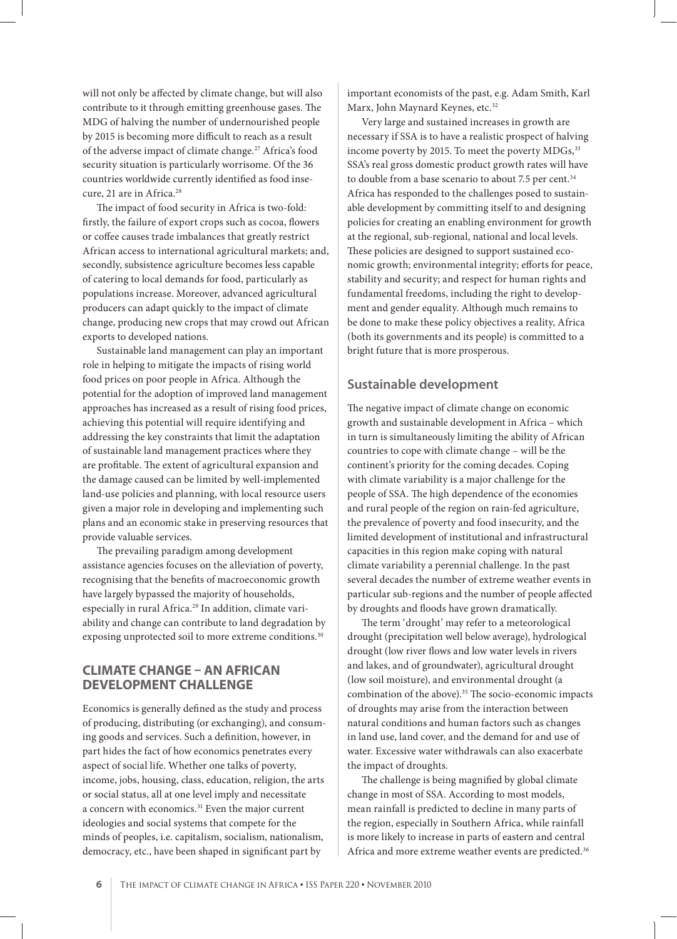will not only be affected by climate change, but will also contribute to it through emitting greenhouse gases. The MDG of halving the number of undernourished people by 2015 is becoming more difficult to reach as a result of the adverse impact of climate change.<sup>27</sup> Africa's food security situation is particularly worrisome. Of the 36 countries worldwide currently identified as food insecure, 21 are in Africa.<sup>28</sup>

The impact of food security in Africa is two-fold: firstly, the failure of export crops such as cocoa, flowers or coffee causes trade imbalances that greatly restrict African access to international agricultural markets; and, secondly, subsistence agriculture becomes less capable of catering to local demands for food, particularly as populations increase. Moreover, advanced agricultural producers can adapt quickly to the impact of climate change, producing new crops that may crowd out African exports to developed nations.

Sustainable land management can play an important role in helping to mitigate the impacts of rising world food prices on poor people in Africa. Although the potential for the adoption of improved land management approaches has increased as a result of rising food prices, achieving this potential will require identifying and addressing the key constraints that limit the adaptation of sustainable land management practices where they are profitable. The extent of agricultural expansion and the damage caused can be limited by well-implemented land-use policies and planning, with local resource users given a major role in developing and implementing such plans and an economic stake in preserving resources that provide valuable services.

The prevailing paradigm among development assistance agencies focuses on the alleviation of poverty, recognising that the benefits of macroeconomic growth have largely bypassed the majority of households, especially in rural Africa.<sup>29</sup> In addition, climate variability and change can contribute to land degradation by exposing unprotected soil to more extreme conditions.<sup>30</sup>

#### **CLIMATE CHANGE – AN AFRICAN DEVELOPMENT CHALLENGE**

Economics is generally defined as the study and process of producing, distributing (or exchanging), and consuming goods and services. Such a definition, however, in part hides the fact of how economics penetrates every aspect of social life. Whether one talks of poverty, income, jobs, housing, class, education, religion, the arts or social status, all at one level imply and necessitate a concern with economics.<sup>31</sup> Even the major current ideologies and social systems that compete for the minds of peoples, i.e. capitalism, socialism, nationalism, democracy, etc., have been shaped in significant part by

important economists of the past, e.g. Adam Smith, Karl Marx, John Maynard Keynes, etc.<sup>32</sup>

Very large and sustained increases in growth are necessary if SSA is to have a realistic prospect of halving income poverty by 2015. To meet the poverty MDGs,<sup>33</sup> SSA's real gross domestic product growth rates will have to double from a base scenario to about 7.5 per cent.<sup>34</sup> Africa has responded to the challenges posed to sustainable development by committing itself to and designing policies for creating an enabling environment for growth at the regional, sub-regional, national and local levels. These policies are designed to support sustained economic growth; environmental integrity; efforts for peace, stability and security; and respect for human rights and fundamental freedoms, including the right to development and gender equality. Although much remains to be done to make these policy objectives a reality, Africa (both its governments and its people) is committed to a bright future that is more prosperous.

#### **Sustainable development**

The negative impact of climate change on economic growth and sustainable development in Africa – which in turn is simultaneously limiting the ability of African countries to cope with climate change – will be the continent's priority for the coming decades. Coping with climate variability is a major challenge for the people of SSA. The high dependence of the economies and rural people of the region on rain-fed agriculture, the prevalence of poverty and food insecurity, and the limited development of institutional and infrastructural capacities in this region make coping with natural climate variability a perennial challenge. In the past several decades the number of extreme weather events in particular sub-regions and the number of people affected by droughts and floods have grown dramatically.

The term 'drought' may refer to a meteorological drought (precipitation well below average), hydrological drought (low river flows and low water levels in rivers and lakes, and of groundwater), agricultural drought (low soil moisture), and environmental drought (a combination of the above).<sup>35</sup> The socio-economic impacts of droughts may arise from the interaction between natural conditions and human factors such as changes in land use, land cover, and the demand for and use of water. Excessive water withdrawals can also exacerbate the impact of droughts.

The challenge is being magnified by global climate change in most of SSA. According to most models, mean rainfall is predicted to decline in many parts of the region, especially in Southern Africa, while rainfall is more likely to increase in parts of eastern and central Africa and more extreme weather events are predicted.<sup>36</sup>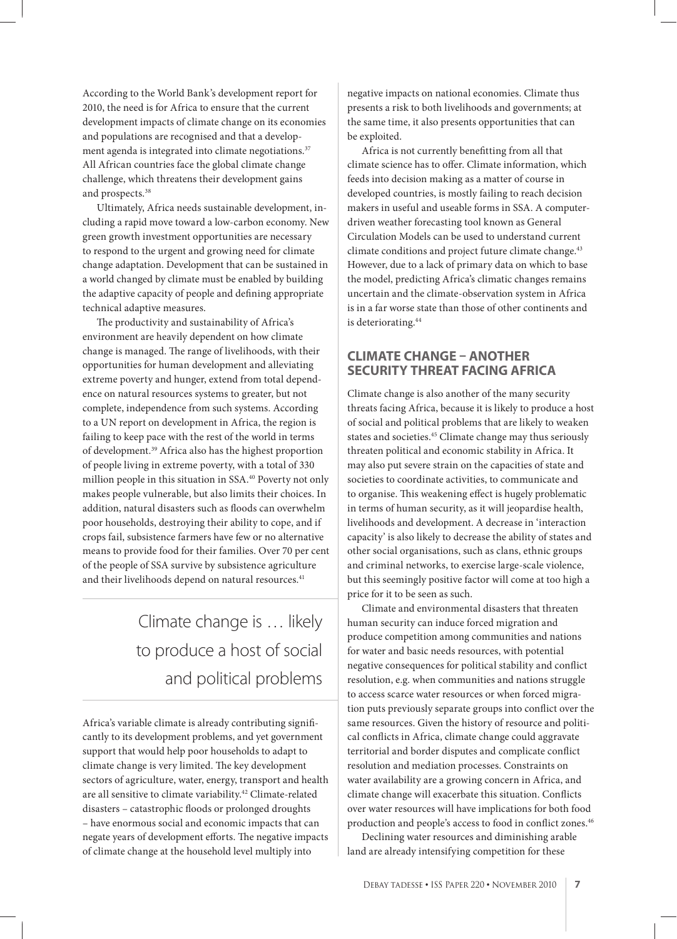According to the World Bank's development report for 2010, the need is for Africa to ensure that the current development impacts of climate change on its economies and populations are recognised and that a development agenda is integrated into climate negotiations.<sup>37</sup> All African countries face the global climate change challenge, which threatens their development gains and prospects.<sup>38</sup>

Ultimately, Africa needs sustainable development, including a rapid move toward a low-carbon economy. New green growth investment opportunities are necessary to respond to the urgent and growing need for climate change adaptation. Development that can be sustained in a world changed by climate must be enabled by building the adaptive capacity of people and defining appropriate technical adaptive measures.

The productivity and sustainability of Africa's environment are heavily dependent on how climate change is managed. The range of livelihoods, with their opportunities for human development and alleviating extreme poverty and hunger, extend from total dependence on natural resources systems to greater, but not complete, independence from such systems. According to a UN report on development in Africa, the region is failing to keep pace with the rest of the world in terms of development.39 Africa also has the highest proportion of people living in extreme poverty, with a total of 330 million people in this situation in SSA.40 Poverty not only makes people vulnerable, but also limits their choices. In addition, natural disasters such as floods can overwhelm poor households, destroying their ability to cope, and if crops fail, subsistence farmers have few or no alternative means to provide food for their families. Over 70 per cent of the people of SSA survive by subsistence agriculture and their livelihoods depend on natural resources.<sup>41</sup>

> Climate change is … likely to produce a host of social and political problems

Africa's variable climate is already contributing significantly to its development problems, and yet government support that would help poor households to adapt to climate change is very limited. The key development sectors of agriculture, water, energy, transport and health are all sensitive to climate variability.<sup>42</sup> Climate-related disasters - catastrophic floods or prolonged droughts – have enormous social and economic impacts that can negate years of development efforts. The negative impacts of climate change at the household level multiply into

negative impacts on national economies. Climate thus presents a risk to both livelihoods and governments; at the same time, it also presents opportunities that can be exploited.

Africa is not currently benefitting from all that climate science has to offer. Climate information, which feeds into decision making as a matter of course in developed countries, is mostly failing to reach decision makers in useful and useable forms in SSA. A computerdriven weather forecasting tool known as General Circulation Models can be used to understand current climate conditions and project future climate change.<sup>43</sup> However, due to a lack of primary data on which to base the model, predicting Africa's climatic changes remains uncertain and the climate-observation system in Africa is in a far worse state than those of other continents and is deteriorating.44

#### **CLIMATE CHANGE – ANOTHER SECURITY THREAT FACING AFRICA**

Climate change is also another of the many security threats facing Africa, because it is likely to produce a host of social and political problems that are likely to weaken states and societies.<sup>45</sup> Climate change may thus seriously threaten political and economic stability in Africa. It may also put severe strain on the capacities of state and societies to coordinate activities, to communicate and to organise. This weakening effect is hugely problematic in terms of human security, as it will jeopardise health, livelihoods and development. A decrease in 'interaction capacity' is also likely to decrease the ability of states and other social organisations, such as clans, ethnic groups and criminal networks, to exercise large-scale violence, but this seemingly positive factor will come at too high a price for it to be seen as such.

Climate and environmental disasters that threaten human security can induce forced migration and produce competition among communities and nations for water and basic needs resources, with potential negative consequences for political stability and conflict resolution, e.g. when communities and nations struggle to access scarce water resources or when forced migration puts previously separate groups into conflict over the same resources. Given the history of resource and political conflicts in Africa, climate change could aggravate territorial and border disputes and complicate conflict resolution and mediation processes. Constraints on water availability are a growing concern in Africa, and climate change will exacerbate this situation. Conflicts over water resources will have implications for both food production and people's access to food in conflict zones.<sup>46</sup>

Declining water resources and diminishing arable land are already intensifying competition for these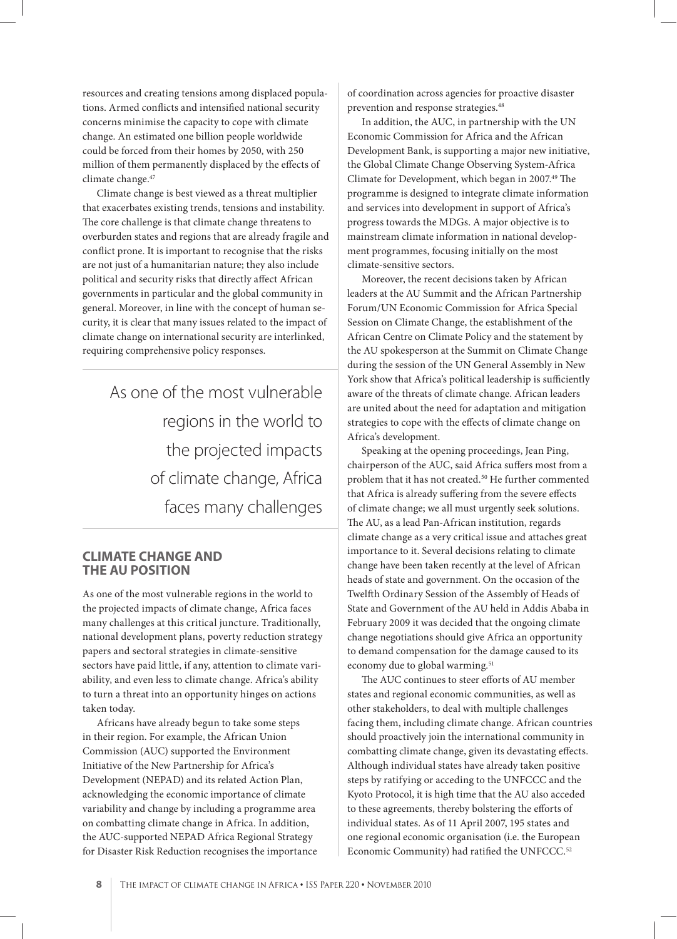resources and creating tensions among displaced populations. Armed conflicts and intensified national security concerns minimise the capacity to cope with climate change. An estimated one billion people worldwide could be forced from their homes by 2050, with 250 million of them permanently displaced by the effects of climate change.47

Climate change is best viewed as a threat multiplier that exacerbates existing trends, tensions and instability. The core challenge is that climate change threatens to overburden states and regions that are already fragile and conflict prone. It is important to recognise that the risks are not just of a humanitarian nature; they also include political and security risks that directly affect African governments in particular and the global community in general. Moreover, in line with the concept of human security, it is clear that many issues related to the impact of climate change on international security are interlinked, requiring comprehensive policy responses.

> As one of the most vulnerable regions in the world to the projected impacts of climate change, Africa faces many challenges

#### **CLIMATE CHANGE AND THE AU POSITION**

As one of the most vulnerable regions in the world to the projected impacts of climate change, Africa faces many challenges at this critical juncture. Traditionally, national development plans, poverty reduction strategy papers and sectoral strategies in climate-sensitive sectors have paid little, if any, attention to climate variability, and even less to climate change. Africa's ability to turn a threat into an opportunity hinges on actions taken today.

Africans have already begun to take some steps in their region. For example, the African Union Commission (AUC) supported the Environment Initiative of the New Partnership for Africa's Development (NEPAD) and its related Action Plan, acknowledging the economic importance of climate variability and change by including a programme area on combatting climate change in Africa. In addition, the AUC-supported NEPAD Africa Regional Strategy for Disaster Risk Reduction recognises the importance of coordination across agencies for proactive disaster prevention and response strategies.<sup>48</sup>

In addition, the AUC, in partnership with the UN Economic Commission for Africa and the African Development Bank, is supporting a major new initiative, the Global Climate Change Observing System-Africa Climate for Development, which began in 2007.<sup>49</sup> The programme is designed to integrate climate information and services into development in support of Africa's progress towards the MDGs. A major objective is to mainstream climate information in national development programmes, focusing initially on the most climate-sensitive sectors.

Moreover, the recent decisions taken by African leaders at the AU Summit and the African Partnership Forum/UN Economic Commission for Africa Special Session on Climate Change, the establishment of the African Centre on Climate Policy and the statement by the AU spokesperson at the Summit on Climate Change during the session of the UN General Assembly in New York show that Africa's political leadership is sufficiently aware of the threats of climate change. African leaders are united about the need for adaptation and mitigation strategies to cope with the effects of climate change on Africa's development.

Speaking at the opening proceedings, Jean Ping, chairperson of the AUC, said Africa suffers most from a problem that it has not created.<sup>50</sup> He further commented that Africa is already suffering from the severe effects of climate change; we all must urgently seek solutions. The AU, as a lead Pan-African institution, regards climate change as a very critical issue and attaches great importance to it. Several decisions relating to climate change have been taken recently at the level of African heads of state and government. On the occasion of the Twelfth Ordinary Session of the Assembly of Heads of State and Government of the AU held in Addis Ababa in February 2009 it was decided that the ongoing climate change negotiations should give Africa an opportunity to demand compensation for the damage caused to its economy due to global warming.<sup>51</sup>

The AUC continues to steer efforts of AU member states and regional economic communities, as well as other stakeholders, to deal with multiple challenges facing them, including climate change. African countries should proactively join the international community in combatting climate change, given its devastating effects. Although individual states have already taken positive steps by ratifying or acceding to the UNFCCC and the Kyoto Protocol, it is high time that the AU also acceded to these agreements, thereby bolstering the efforts of individual states. As of 11 April 2007, 195 states and one regional economic organisation (i.e. the European Economic Community) had ratified the UNFCCC.<sup>52</sup>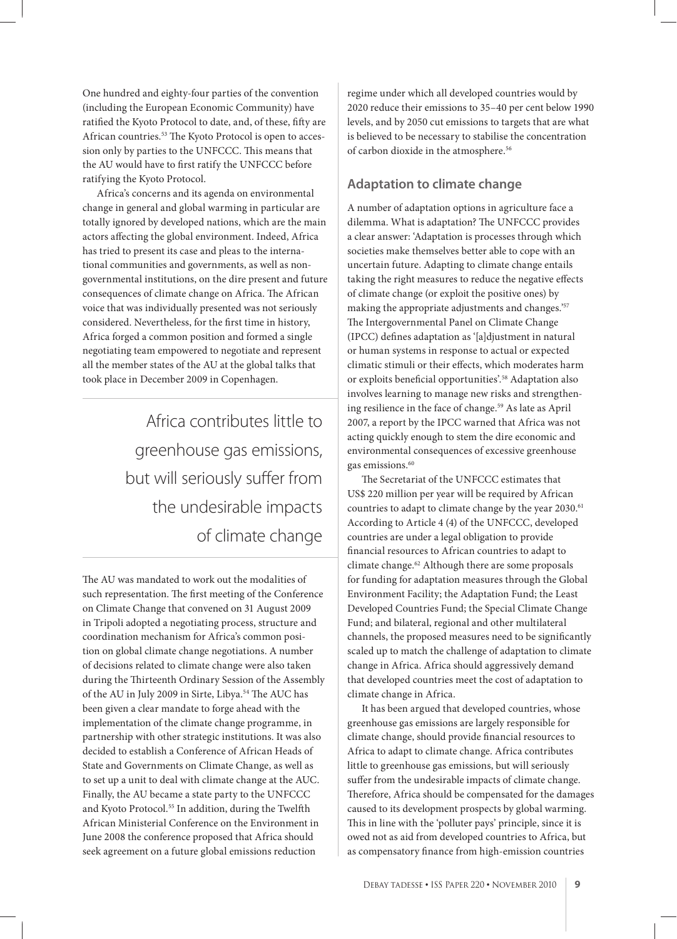One hundred and eighty-four parties of the convention (including the European Economic Community) have ratified the Kyoto Protocol to date, and, of these, fifty are African countries.<sup>53</sup> The Kyoto Protocol is open to accession only by parties to the UNFCCC. This means that the AU would have to first ratify the UNFCCC before ratifying the Kyoto Protocol.

Africa's concerns and its agenda on environmental change in general and global warming in particular are totally ignored by developed nations, which are the main actors affecting the global environment. Indeed, Africa has tried to present its case and pleas to the international communities and governments, as well as nongovernmental institutions, on the dire present and future consequences of climate change on Africa. The African voice that was individually presented was not seriously considered. Nevertheless, for the first time in history, Africa forged a common position and formed a single negotiating team empowered to negotiate and represent all the member states of the AU at the global talks that took place in December 2009 in Copenhagen.

> Africa contributes little to greenhouse gas emissions, but will seriously suffer from the undesirable impacts of climate change

The AU was mandated to work out the modalities of such representation. The first meeting of the Conference on Climate Change that convened on 31 August 2009 in Tripoli adopted a negotiating process, structure and coordination mechanism for Africa's common position on global climate change negotiations. A number of decisions related to climate change were also taken during the Thirteenth Ordinary Session of the Assembly of the AU in July 2009 in Sirte, Libya. $^{54}$  The AUC has been given a clear mandate to forge ahead with the implementation of the climate change programme, in partnership with other strategic institutions. It was also decided to establish a Conference of African Heads of State and Governments on Climate Change, as well as to set up a unit to deal with climate change at the AUC. Finally, the AU became a state party to the UNFCCC and Kyoto Protocol.<sup>55</sup> In addition, during the Twelfth African Ministerial Conference on the Environment in June 2008 the conference proposed that Africa should seek agreement on a future global emissions reduction

regime under which all developed countries would by 2020 reduce their emissions to 35–40 per cent below 1990 levels, and by 2050 cut emissions to targets that are what is believed to be necessary to stabilise the concentration of carbon dioxide in the atmosphere.<sup>56</sup>

# **Adaptation to climate change**

A number of adaptation options in agriculture face a dilemma. What is adaptation? The UNFCCC provides a clear answer: 'Adaptation is processes through which societies make themselves better able to cope with an uncertain future. Adapting to climate change entails taking the right measures to reduce the negative effects of climate change (or exploit the positive ones) by making the appropriate adjustments and changes.'57 The Intergovernmental Panel on Climate Change (IPCC) defines adaptation as '[a]djustment in natural or human systems in response to actual or expected climatic stimuli or their effects, which moderates harm or exploits beneficial opportunities'.<sup>58</sup> Adaptation also involves learning to manage new risks and strengthening resilience in the face of change.<sup>59</sup> As late as April 2007, a report by the IPCC warned that Africa was not acting quickly enough to stem the dire economic and environmental consequences of excessive greenhouse gas emissions.<sup>60</sup>

The Secretariat of the UNFCCC estimates that US\$ 220 million per year will be required by African countries to adapt to climate change by the year 2030.<sup>61</sup> According to Article 4 (4) of the UNFCCC, developed countries are under a legal obligation to provide financial resources to African countries to adapt to climate change.62 Although there are some proposals for funding for adaptation measures through the Global Environment Facility; the Adaptation Fund; the Least Developed Countries Fund; the Special Climate Change Fund; and bilateral, regional and other multilateral channels, the proposed measures need to be significantly scaled up to match the challenge of adaptation to climate change in Africa. Africa should aggressively demand that developed countries meet the cost of adaptation to climate change in Africa.

It has been argued that developed countries, whose greenhouse gas emissions are largely responsible for climate change, should provide financial resources to Africa to adapt to climate change. Africa contributes little to greenhouse gas emissions, but will seriously suffer from the undesirable impacts of climate change. Therefore, Africa should be compensated for the damages caused to its development prospects by global warming. This in line with the 'polluter pays' principle, since it is owed not as aid from developed countries to Africa, but as compensatory finance from high-emission countries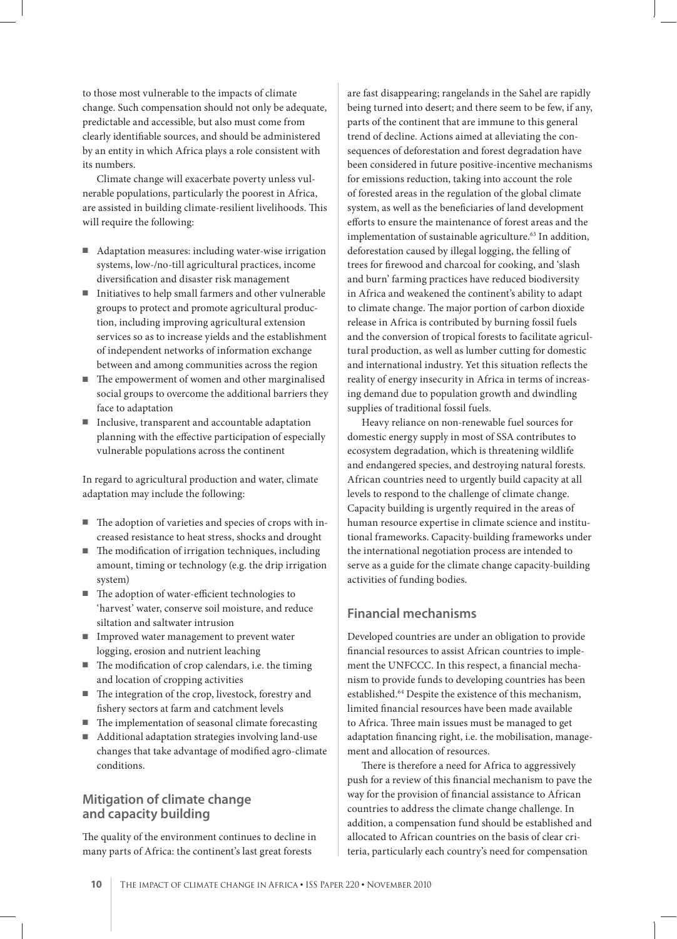to those most vulnerable to the impacts of climate change. Such compensation should not only be adequate, predictable and accessible, but also must come from clearly identifiable sources, and should be administered by an entity in which Africa plays a role consistent with its numbers.

Climate change will exacerbate poverty unless vulnerable populations, particularly the poorest in Africa, are assisted in building climate-resilient livelihoods. This will require the following:

- Adaptation measures: including water-wise irrigation systems, low-/no-till agricultural practices, income diversification and disaster risk management
- Initiatives to help small farmers and other vulnerable groups to protect and promote agricultural production, including improving agricultural extension services so as to increase yields and the establishment of independent networks of information exchange between and among communities across the region
- The empowerment of women and other marginalised social groups to overcome the additional barriers they face to adaptation
- Inclusive, transparent and accountable adaptation planning with the effective participation of especially vulnerable populations across the continent

In regard to agricultural production and water, climate adaptation may include the following:

- The adoption of varieties and species of crops with increased resistance to heat stress, shocks and drought
- $\blacksquare$  The modification of irrigation techniques, including amount, timing or technology (e.g. the drip irrigation system)
- The adoption of water-efficient technologies to 'harvest' water, conserve soil moisture, and reduce siltation and saltwater intrusion
- Improved water management to prevent water logging, erosion and nutrient leaching
- $\blacksquare$  The modification of crop calendars, i.e. the timing and location of cropping activities
- The integration of the crop, livestock, forestry and fishery sectors at farm and catchment levels
- The implementation of seasonal climate forecasting
- Additional adaptation strategies involving land-use changes that take advantage of modified agro-climate conditions.

# **Mitigation of climate change and capacity building**

The quality of the environment continues to decline in many parts of Africa: the continent's last great forests

are fast disappearing; rangelands in the Sahel are rapidly being turned into desert; and there seem to be few, if any, parts of the continent that are immune to this general trend of decline. Actions aimed at alleviating the consequences of deforestation and forest degradation have been considered in future positive-incentive mechanisms for emissions reduction, taking into account the role of forested areas in the regulation of the global climate system, as well as the beneficiaries of land development efforts to ensure the maintenance of forest areas and the implementation of sustainable agriculture.<sup>63</sup> In addition, deforestation caused by illegal logging, the felling of trees for firewood and charcoal for cooking, and 'slash and burn' farming practices have reduced biodiversity in Africa and weakened the continent's ability to adapt to climate change. The major portion of carbon dioxide release in Africa is contributed by burning fossil fuels and the conversion of tropical forests to facilitate agricultural production, as well as lumber cutting for domestic and international industry. Yet this situation reflects the reality of energy insecurity in Africa in terms of increasing demand due to population growth and dwindling supplies of traditional fossil fuels.

Heavy reliance on non-renewable fuel sources for domestic energy supply in most of SSA contributes to ecosystem degradation, which is threatening wildlife and endangered species, and destroying natural forests. African countries need to urgently build capacity at all levels to respond to the challenge of climate change. Capacity building is urgently required in the areas of human resource expertise in climate science and institutional frameworks. Capacity-building frameworks under the international negotiation process are intended to serve as a guide for the climate change capacity-building activities of funding bodies.

# **Financial mechanisms**

Developed countries are under an obligation to provide financial resources to assist African countries to implement the UNFCCC. In this respect, a financial mechanism to provide funds to developing countries has been established.<sup>64</sup> Despite the existence of this mechanism, limited financial resources have been made available to Africa. Three main issues must be managed to get adaptation financing right, i.e. the mobilisation, management and allocation of resources.

There is therefore a need for Africa to aggressively push for a review of this financial mechanism to pave the way for the provision of financial assistance to African countries to address the climate change challenge. In addition, a compensation fund should be established and allocated to African countries on the basis of clear criteria, particularly each country's need for compensation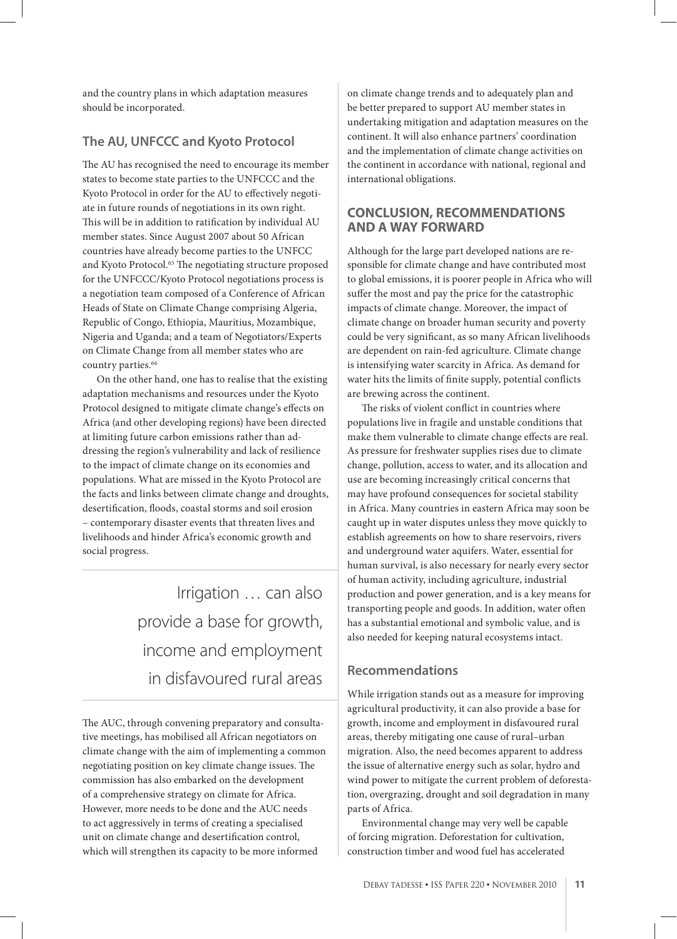and the country plans in which adaptation measures should be incorporated.

# **The AU, UNFCCC and Kyoto Protocol**

The AU has recognised the need to encourage its member states to become state parties to the UNFCCC and the Kyoto Protocol in order for the AU to effectively negotiate in future rounds of negotiations in its own right. This will be in addition to ratification by individual AU member states. Since August 2007 about 50 African countries have already become parties to the UNFCC and Kyoto Protocol.<sup>65</sup> The negotiating structure proposed for the UNFCCC/Kyoto Protocol negotiations process is a negotiation team composed of a Conference of African Heads of State on Climate Change comprising Algeria, Republic of Congo, Ethiopia, Mauritius, Mozambique, Nigeria and Uganda; and a team of Negotiators/Experts on Climate Change from all member states who are country parties.<sup>66</sup>

On the other hand, one has to realise that the existing adaptation mechanisms and resources under the Kyoto Protocol designed to mitigate climate change's effects on Africa (and other developing regions) have been directed at limiting future carbon emissions rather than addressing the region's vulnerability and lack of resilience to the impact of climate change on its economies and populations. What are missed in the Kyoto Protocol are the facts and links between climate change and droughts, desertification, floods, coastal storms and soil erosion – contemporary disaster events that threaten lives and livelihoods and hinder Africa's economic growth and social progress.

> Irrigation … can also provide a base for growth, income and employment in disfavoured rural areas

The AUC, through convening preparatory and consultative meetings, has mobilised all African negotiators on climate change with the aim of implementing a common negotiating position on key climate change issues. The commission has also embarked on the development of a comprehensive strategy on climate for Africa. However, more needs to be done and the AUC needs to act aggressively in terms of creating a specialised unit on climate change and desertification control, which will strengthen its capacity to be more informed

on climate change trends and to adequately plan and be better prepared to support AU member states in undertaking mitigation and adaptation measures on the continent. It will also enhance partners' coordination and the implementation of climate change activities on the continent in accordance with national, regional and international obligations.

# **CONCLUSION, RECOMMENDATIONS AND A WAY FORWARD**

Although for the large part developed nations are responsible for climate change and have contributed most to global emissions, it is poorer people in Africa who will suffer the most and pay the price for the catastrophic impacts of climate change. Moreover, the impact of climate change on broader human security and poverty could be very significant, as so many African livelihoods are dependent on rain-fed agriculture. Climate change is intensifying water scarcity in Africa. As demand for water hits the limits of finite supply, potential conflicts are brewing across the continent.

The risks of violent conflict in countries where populations live in fragile and unstable conditions that make them vulnerable to climate change effects are real. As pressure for freshwater supplies rises due to climate change, pollution, access to water, and its allocation and use are becoming increasingly critical concerns that may have profound consequences for societal stability in Africa. Many countries in eastern Africa may soon be caught up in water disputes unless they move quickly to establish agreements on how to share reservoirs, rivers and underground water aquifers. Water, essential for human survival, is also necessary for nearly every sector of human activity, including agriculture, industrial production and power generation, and is a key means for transporting people and goods. In addition, water often has a substantial emotional and symbolic value, and is also needed for keeping natural ecosystems intact.

# **Recommendations**

While irrigation stands out as a measure for improving agricultural productivity, it can also provide a base for growth, income and employment in disfavoured rural areas, thereby mitigating one cause of rural–urban migration. Also, the need becomes apparent to address the issue of alternative energy such as solar, hydro and wind power to mitigate the current problem of deforestation, overgrazing, drought and soil degradation in many parts of Africa.

Environmental change may very well be capable of forcing migration. Deforestation for cultivation, construction timber and wood fuel has accelerated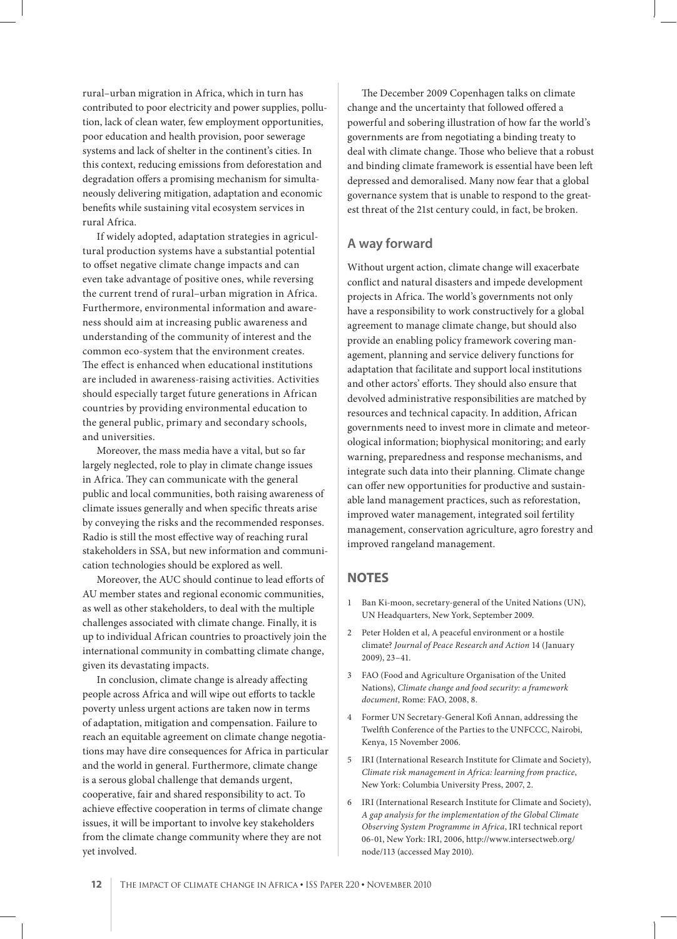rural–urban migration in Africa, which in turn has contributed to poor electricity and power supplies, pollution, lack of clean water, few employment opportunities, poor education and health provision, poor sewerage systems and lack of shelter in the continent's cities. In this context, reducing emissions from deforestation and degradation offers a promising mechanism for simultaneously delivering mitigation, adaptation and economic benefits while sustaining vital ecosystem services in rural Africa.

If widely adopted, adaptation strategies in agricultural production systems have a substantial potential to offset negative climate change impacts and can even take advantage of positive ones, while reversing the current trend of rural–urban migration in Africa. Furthermore, environmental information and awareness should aim at increasing public awareness and understanding of the community of interest and the common eco-system that the environment creates. The effect is enhanced when educational institutions are included in awareness-raising activities. Activities should especially target future generations in African countries by providing environmental education to the general public, primary and secondary schools, and universities.

Moreover, the mass media have a vital, but so far largely neglected, role to play in climate change issues in Africa. They can communicate with the general public and local communities, both raising awareness of climate issues generally and when specific threats arise by conveying the risks and the recommended responses. Radio is still the most effective way of reaching rural stakeholders in SSA, but new information and communication technologies should be explored as well.

Moreover, the AUC should continue to lead efforts of AU member states and regional economic communities, as well as other stakeholders, to deal with the multiple challenges associated with climate change. Finally, it is up to individual African countries to proactively join the international community in combatting climate change, given its devastating impacts.

In conclusion, climate change is already affecting people across Africa and will wipe out efforts to tackle poverty unless urgent actions are taken now in terms of adaptation, mitigation and compensation. Failure to reach an equitable agreement on climate change negotiations may have dire consequences for Africa in particular and the world in general. Furthermore, climate change is a serous global challenge that demands urgent, cooperative, fair and shared responsibility to act. To achieve effective cooperation in terms of climate change issues, it will be important to involve key stakeholders from the climate change community where they are not yet involved.

The December 2009 Copenhagen talks on climate change and the uncertainty that followed offered a powerful and sobering illustration of how far the world's governments are from negotiating a binding treaty to deal with climate change. Those who believe that a robust and binding climate framework is essential have been left depressed and demoralised. Many now fear that a global governance system that is unable to respond to the greatest threat of the 21st century could, in fact, be broken.

# **A way forward**

Without urgent action, climate change will exacerbate conflict and natural disasters and impede development projects in Africa. The world's governments not only have a responsibility to work constructively for a global agreement to manage climate change, but should also provide an enabling policy framework covering management, planning and service delivery functions for adaptation that facilitate and support local institutions and other actors' efforts. They should also ensure that devolved administrative responsibilities are matched by resources and technical capacity. In addition, African governments need to invest more in climate and meteorological information; biophysical monitoring; and early warning, preparedness and response mechanisms, and integrate such data into their planning. Climate change can offer new opportunities for productive and sustainable land management practices, such as reforestation, improved water management, integrated soil fertility management, conservation agriculture, agro forestry and improved rangeland management.

#### **NOTES**

- 1 Ban Ki-moon, secretary-general of the United Nations (UN), UN Headquarters, New York, September 2009.
- 2 Peter Holden et al, A peaceful environment or a hostile climate? *Journal of Peace Research and Action* 14 (January 2009), 23–41.
- 3 FAO (Food and Agriculture Organisation of the United Nations), *Climate change and food security: a framework document*, Rome: FAO, 2008, 8.
- 4 Former UN Secretary-General Kofi Annan, addressing the Twelfth Conference of the Parties to the UNFCCC, Nairobi, Kenya, 15 November 2006.
- 5 IRI (International Research Institute for Climate and Society), *Climate risk management in Africa: learning from practice*, New York: Columbia University Press, 2007, 2.
- 6 IRI (International Research Institute for Climate and Society), *A gap analysis for the implementation of the Global Climate Observing System Programme in Africa*, IRI technical report 06-01, New York: IRI, 2006, http://www.intersectweb.org/ node/113 (accessed May 2010).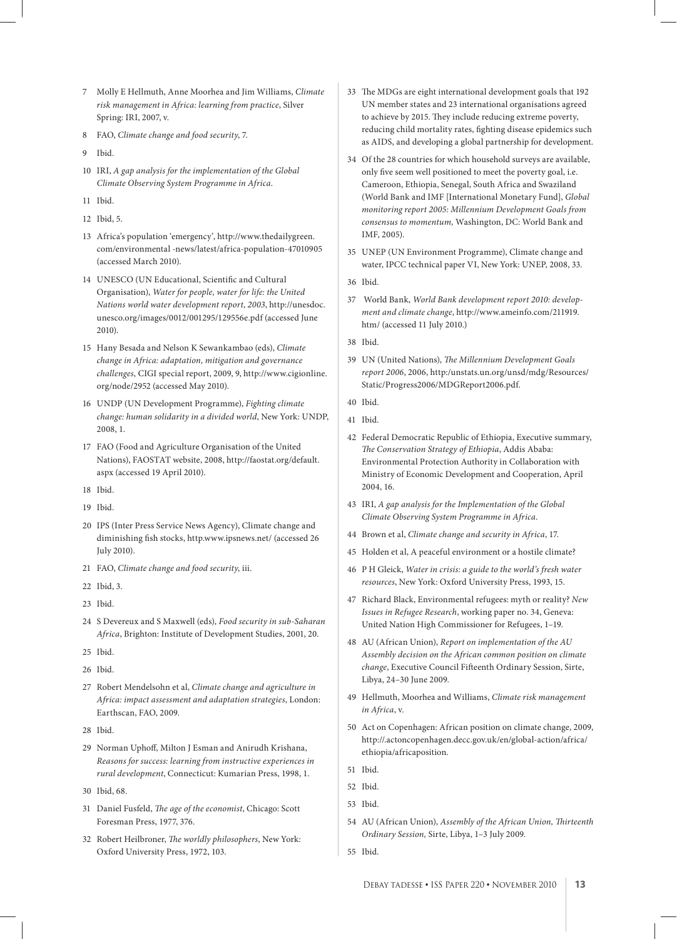- 7 Molly E Hellmuth, Anne Moorhea and Jim Williams, *Climate risk management in Africa: learning from practice*, Silver Spring: IRI, 2007, v.
- 8 FAO, *Climate change and food security*, 7.
- 9 Ibid.
- 10 IRI, *A gap analysis for the implementation of the Global Climate Observing System Programme in Africa*.
- 11 Ibid.
- 12 Ibid, 5.
- 13 Africa's population 'emergency', http://www.thedailygreen. com/environmental -news/latest/africa-population-47010905 (accessed March 2010).
- 14 UNESCO (UN Educational, Scientific and Cultural Organisation), *Water for people, water for life: the United Nations world water development report*, *2003*, http://unesdoc. unesco.org/images/0012/001295/129556e.pdf (accessed June 2010).
- 15 Hany Besada and Nelson K Sewankambao (eds), *Climate change in Africa: adaptation, mitigation and governance challenges*, CIGI special report, 2009, 9, http://www.cigionline. org/node/2952 (accessed May 2010).
- 16 UNDP (UN Development Programme), *Fighting climate change: human solidarity in a divided world*, New York: UNDP, 2008, 1.
- 17 FAO (Food and Agriculture Organisation of the United Nations), FAOSTAT website, 2008, http://faostat.org/default. aspx (accessed 19 April 2010).
- 18 Ibid.
- 19 Ibid.
- 20 IPS (Inter Press Service News Agency), Climate change and diminishing fish stocks, http.www.ipsnews.net/ (accessed 26 July 2010).
- 21 FAO, *Climate change and food security*, iii.
- 22 Ibid, 3.
- 23 Ibid.
- 24 S Devereux and S Maxwell (eds), *Food security in sub-Saharan Africa*, Brighton: Institute of Development Studies, 2001, 20.
- 25 Ibid.
- 26 Ibid.
- 27 Robert Mendelsohn et al, *Climate change and agriculture in Africa: impact assessment and adaptation strategies*, London: Earthscan, FAO, 2009.
- 28 Ibid.
- 29 Norman Uphoff, Milton J Esman and Anirudh Krishana, *Reasons for success: learning from instructive experiences in rural development*, Connecticut: Kumarian Press, 1998, 1.
- 30 Ibid, 68.
- 31 Daniel Fusfeld, *The age of the economist*, Chicago: Scott Foresman Press, 1977, 376.
- 32 Robert Heilbroner, *The worldly philosophers*, New York: Oxford University Press, 1972, 103.
- 33 The MDGs are eight international development goals that 192 UN member states and 23 international organisations agreed to achieve by 2015. They include reducing extreme poverty, reducing child mortality rates, fighting disease epidemics such as AIDS, and developing a global partnership for development.
- 34 Of the 28 countries for which household surveys are available, only five seem well positioned to meet the poverty goal, i.e. Cameroon, Ethiopia, Senegal, South Africa and Swaziland (World Bank and IMF [International Monetary Fund], *Global monitoring report 2005: Millennium Development Goals from consensus to momentum,* Washington, DC: World Bank and IMF, 2005).
- 35 UNEP (UN Environment Programme), Climate change and water, IPCC technical paper VI, New York: UNEP, 2008, 33.
- 36 Ibid.
- 37 World Bank, *World Bank development report 2010: development and climate change*, http://www.ameinfo.com/211919. htm/ (accessed 11 July 2010.)
- 38 Ibid.
- 39 UN (United Nations), *The Millennium Development Goals report 2006*, 2006, http:/unstats.un.org/unsd/mdg/Resources/ Static/Progress2006/MDGReport2006.pdf.
- 40 Ibid.
- 41 Ibid.
- 42 Federal Democratic Republic of Ethiopia, Executive summary, *Th e Conservation Strategy of Ethiopia*, Addis Ababa: Environmental Protection Authority in Collaboration with Ministry of Economic Development and Cooperation, April 2004, 16.
- 43 IRI, *A gap analysis for the Implementation of the Global Climate Observing System Programme in Africa*.
- 44 Brown et al, *Climate change and security in Africa*, 17.
- 45 Holden et al, A peaceful environment or a hostile climate?
- 46 P H Gleick, *Water in crisis: a guide to the world's fresh water resources*, New York: Oxford University Press, 1993, 15.
- 47 Richard Black, Environmental refugees: myth or reality? *New Issues in Refugee Research*, working paper no. 34, Geneva: United Nation High Commissioner for Refugees, 1–19.
- 48 AU (African Union), *Report on implementation of the AU Assembly decision on the African common position on climate change*, Executive Council Fifteenth Ordinary Session, Sirte, Libya, 24–30 June 2009.
- 49 Hellmuth, Moorhea and Williams, *Climate risk management in Africa*, v.
- 50 Act on Copenhagen: African position on climate change, 2009, http://.actoncopenhagen.decc.gov.uk/en/global-action/africa/ ethiopia/africaposition.
- 51 Ibid.
- 52 Ibid.
- 53 Ibid.
- 54 AU (African Union), *Assembly of the African Union*, *Thirteenth Ordinary Session,* Sirte, Libya, 1–3 July 2009.
- 55 Ibid.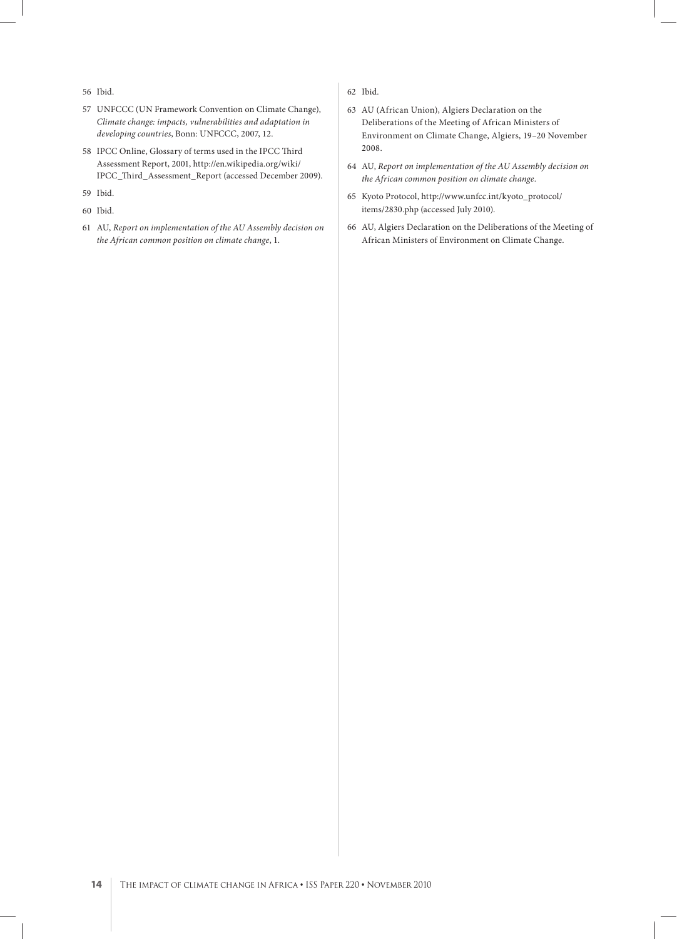- 56 Ibid.
- 57 UNFCCC (UN Framework Convention on Climate Change), *Climate change: impacts, vulnerabilities and adaptation in developing countries*, Bonn: UNFCCC, 2007, 12.
- 58 IPCC Online, Glossary of terms used in the IPCC Third Assessment Report, 2001, http://en.wikipedia.org/wiki/ IPCC\_Th ird\_Assessment\_Report (accessed December 2009).
- 59 Ibid.
- 60 Ibid.
- 61 AU, *Report on implementation of the AU Assembly decision on the African common position on climate change*, 1.
- 62 Ibid.
- 63 AU (African Union), Algiers Declaration on the Deliberations of the Meeting of African Ministers of Environment on Climate Change, Algiers, 19–20 November 2008.
- 64 AU, *Report on implementation of the AU Assembly decision on the African common position on climate change*.
- 65 Kyoto Protocol, http://www.unfcc.int/kyoto\_protocol/ items/2830.php (accessed July 2010).
- 66 AU, Algiers Declaration on the Deliberations of the Meeting of African Ministers of Environment on Climate Change.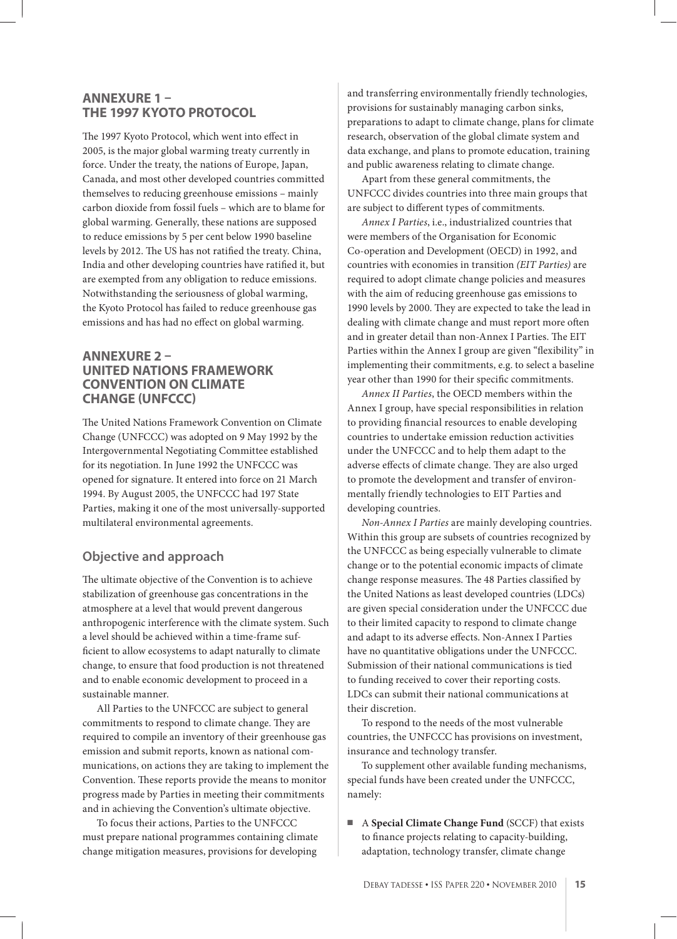## **ANNEXURE 1 – THE 1997 KYOTO PROTOCOL**

The 1997 Kyoto Protocol, which went into effect in 2005, is the major global warming treaty currently in force. Under the treaty, the nations of Europe, Japan, Canada, and most other developed countries committed themselves to reducing greenhouse emissions – mainly carbon dioxide from fossil fuels – which are to blame for global warming. Generally, these nations are supposed to reduce emissions by 5 per cent below 1990 baseline levels by 2012. The US has not ratified the treaty. China, India and other developing countries have ratified it, but are exempted from any obligation to reduce emissions. Notwithstanding the seriousness of global warming, the Kyoto Protocol has failed to reduce greenhouse gas emissions and has had no effect on global warming.

#### **ANNEXURE 2 – UNITED NATIONS FRAMEWORK CONVENTION ON CLIMATE CHANGE (UNFCCC)**

The United Nations Framework Convention on Climate Change (UNFCCC) was adopted on 9 May 1992 by the Intergovernmental Negotiating Committee established for its negotiation. In June 1992 the UNFCCC was opened for signature. It entered into force on 21 March 1994. By August 2005, the UNFCCC had 197 State Parties, making it one of the most universally-supported multilateral environmental agreements.

# **Objective and approach**

The ultimate objective of the Convention is to achieve stabilization of greenhouse gas concentrations in the atmosphere at a level that would prevent dangerous anthropogenic interference with the climate system. Such a level should be achieved within a time-frame sufficient to allow ecosystems to adapt naturally to climate change, to ensure that food production is not threatened and to enable economic development to proceed in a sustainable manner.

All Parties to the UNFCCC are subject to general commitments to respond to climate change. They are required to compile an inventory of their greenhouse gas emission and submit reports, known as national communications, on actions they are taking to implement the Convention. These reports provide the means to monitor progress made by Parties in meeting their commitments and in achieving the Convention's ultimate objective.

To focus their actions, Parties to the UNFCCC must prepare national programmes containing climate change mitigation measures, provisions for developing

and transferring environmentally friendly technologies, provisions for sustainably managing carbon sinks, preparations to adapt to climate change, plans for climate research, observation of the global climate system and data exchange, and plans to promote education, training and public awareness relating to climate change.

Apart from these general commitments, the UNFCCC divides countries into three main groups that are subject to different types of commitments.

*Annex I Parties*, i.e., industrialized countries that were members of the Organisation for Economic Co-operation and Development (OECD) in 1992, and countries with economies in transition *(EIT Parties)* are required to adopt climate change policies and measures with the aim of reducing greenhouse gas emissions to 1990 levels by 2000. They are expected to take the lead in dealing with climate change and must report more often and in greater detail than non-Annex I Parties. The EIT Parties within the Annex I group are given "flexibility" in implementing their commitments, e.g. to select a baseline year other than 1990 for their specific commitments.

*Annex II Parties*, the OECD members within the Annex I group, have special responsibilities in relation to providing financial resources to enable developing countries to undertake emission reduction activities under the UNFCCC and to help them adapt to the adverse effects of climate change. They are also urged to promote the development and transfer of environmentally friendly technologies to EIT Parties and developing countries.

*Non-Annex I Parties* are mainly developing countries. Within this group are subsets of countries recognized by the UNFCCC as being especially vulnerable to climate change or to the potential economic impacts of climate change response measures. The 48 Parties classified by the United Nations as least developed countries (LDCs) are given special consideration under the UNFCCC due to their limited capacity to respond to climate change and adapt to its adverse effects. Non-Annex I Parties have no quantitative obligations under the UNFCCC. Submission of their national communications is tied to funding received to cover their reporting costs. LDCs can submit their national communications at their discretion.

To respond to the needs of the most vulnerable countries, the UNFCCC has provisions on investment, insurance and technology transfer.

To supplement other available funding mechanisms, special funds have been created under the UNFCCC, namely:

■ A **Special Climate Change Fund** (SCCF) that exists to finance projects relating to capacity-building, adaptation, technology transfer, climate change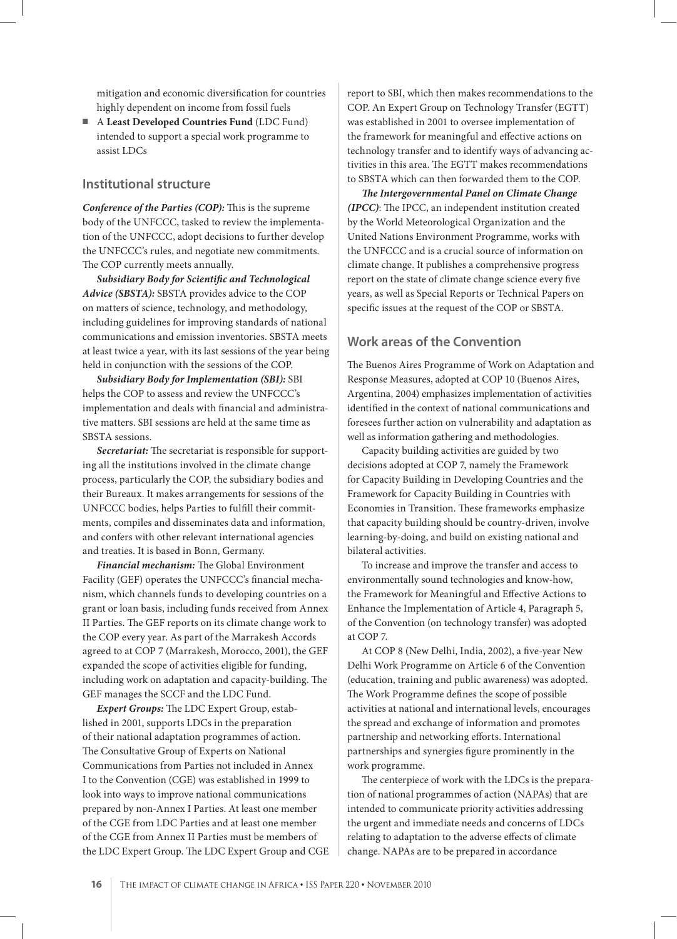mitigation and economic diversification for countries highly dependent on income from fossil fuels

■ A **Least Developed Countries Fund** (LDC Fund) intended to support a special work programme to assist LDCs

#### **Institutional structure**

*Conference of the Parties (COP): This is the supreme* body of the UNFCCC, tasked to review the implementation of the UNFCCC, adopt decisions to further develop the UNFCCC's rules, and negotiate new commitments. The COP currently meets annually.

**Subsidiary Body for Scientific and Technological** *Advice (SBSTA):* SBSTA provides advice to the COP on matters of science, technology, and methodology, including guidelines for improving standards of national communications and emission inventories. SBSTA meets at least twice a year, with its last sessions of the year being held in conjunction with the sessions of the COP.

*Subsidiary Body for Implementation (SBI):* SBI helps the COP to assess and review the UNFCCC's implementation and deals with financial and administrative matters. SBI sessions are held at the same time as SBSTA sessions.

Secretariat: The secretariat is responsible for supporting all the institutions involved in the climate change process, particularly the COP, the subsidiary bodies and their Bureaux. It makes arrangements for sessions of the UNFCCC bodies, helps Parties to fulfill their commitments, compiles and disseminates data and information, and confers with other relevant international agencies and treaties. It is based in Bonn, Germany.

**Financial mechanism:** The Global Environment Facility (GEF) operates the UNFCCC's financial mechanism, which channels funds to developing countries on a grant or loan basis, including funds received from Annex II Parties. The GEF reports on its climate change work to the COP every year. As part of the Marrakesh Accords agreed to at COP 7 (Marrakesh, Morocco, 2001), the GEF expanded the scope of activities eligible for funding, including work on adaptation and capacity-building. The GEF manages the SCCF and the LDC Fund.

*Expert Groups:* The LDC Expert Group, established in 2001, supports LDCs in the preparation of their national adaptation programmes of action. The Consultative Group of Experts on National Communications from Parties not included in Annex I to the Convention (CGE) was established in 1999 to look into ways to improve national communications prepared by non-Annex I Parties. At least one member of the CGE from LDC Parties and at least one member of the CGE from Annex II Parties must be members of the LDC Expert Group. The LDC Expert Group and CGE

report to SBI, which then makes recommendations to the COP. An Expert Group on Technology Transfer (EGTT) was established in 2001 to oversee implementation of the framework for meaningful and effective actions on technology transfer and to identify ways of advancing activities in this area. The EGTT makes recommendations to SBSTA which can then forwarded them to the COP.

**The Intergovernmental Panel on Climate Change** *(IPCC)*: The IPCC, an independent institution created by the World Meteorological Organization and the United Nations Environment Programme, works with the UNFCCC and is a crucial source of information on climate change. It publishes a comprehensive progress report on the state of climate change science every five years, as well as Special Reports or Technical Papers on specific issues at the request of the COP or SBSTA.

#### **Work areas of the Convention**

The Buenos Aires Programme of Work on Adaptation and Response Measures, adopted at COP 10 (Buenos Aires, Argentina, 2004) emphasizes implementation of activities identified in the context of national communications and foresees further action on vulnerability and adaptation as well as information gathering and methodologies.

Capacity building activities are guided by two decisions adopted at COP 7, namely the Framework for Capacity Building in Developing Countries and the Framework for Capacity Building in Countries with Economies in Transition. These frameworks emphasize that capacity building should be country-driven, involve learning-by-doing, and build on existing national and bilateral activities.

To increase and improve the transfer and access to environmentally sound technologies and know-how, the Framework for Meaningful and Effective Actions to Enhance the Implementation of Article 4, Paragraph 5, of the Convention (on technology transfer) was adopted at COP 7.

At COP 8 (New Delhi, India, 2002), a five-year New Delhi Work Programme on Article 6 of the Convention (education, training and public awareness) was adopted. The Work Programme defines the scope of possible activities at national and international levels, encourages the spread and exchange of information and promotes partnership and networking efforts. International partnerships and synergies figure prominently in the work programme.

The centerpiece of work with the LDCs is the preparation of national programmes of action (NAPAs) that are intended to communicate priority activities addressing the urgent and immediate needs and concerns of LDCs relating to adaptation to the adverse effects of climate change. NAPAs are to be prepared in accordance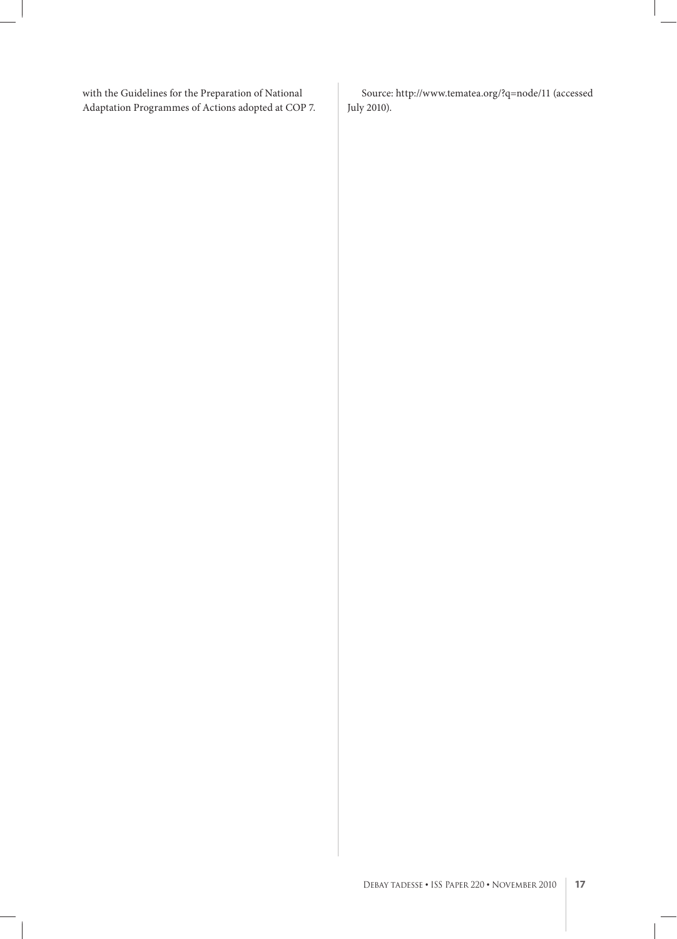with the Guidelines for the Preparation of National Adaptation Programmes of Actions adopted at COP 7.

Source: http://www.tematea.org/?q=node/11 (accessed July 2010).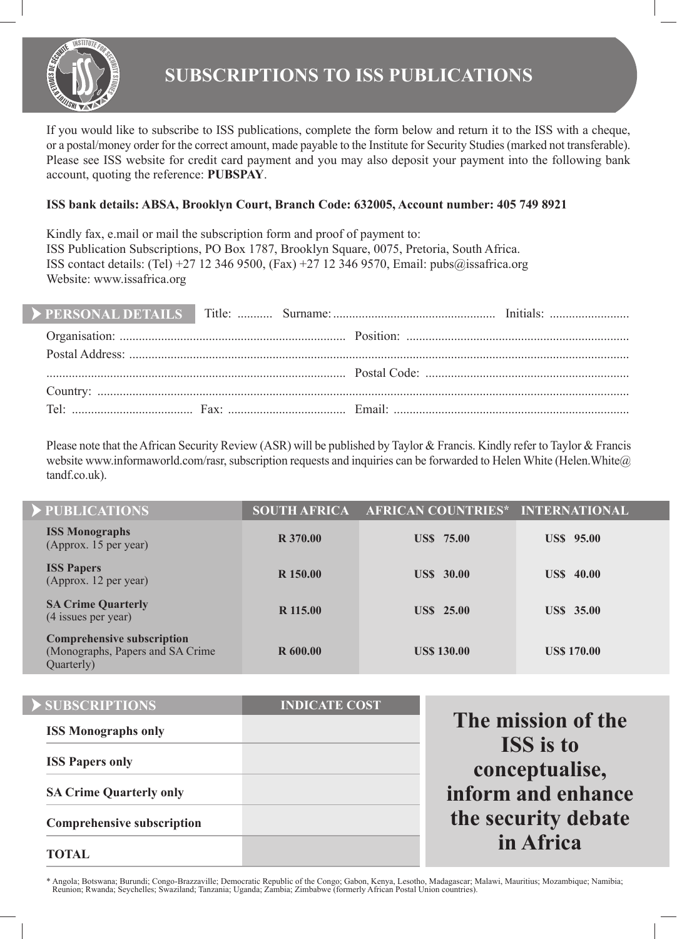

If you would like to subscribe to ISS publications, complete the form below and return it to the ISS with a cheque, or a postal/money order for the correct amount, made payable to the Institute for Security Studies (marked not transferable). Please see ISS website for credit card payment and you may also deposit your payment into the following bank account, quoting the reference: **PUBSPAY**.

# **ISS bank details: ABSA, Brooklyn Court, Branch Code: 632005, Account number: 405 749 8921**

Kindly fax, e.mail or mail the subscription form and proof of payment to: ISS Publication Subscriptions, PO Box 1787, Brooklyn Square, 0075, Pretoria, South Africa. ISS contact details: (Tel) +27 12 346 9500, (Fax) +27 12 346 9570, Email: pubs@issafrica.org Website: www.issafrica.org

Please note that the African Security Review (ASR) will be published by Taylor & Francis. Kindly refer to Taylor & Francis website www.informaworld.com/rasr, subscription requests and inquiries can be forwarded to Helen White (Helen.White  $\omega$ ) tandf.co.uk).

| PUBLICATIONS                                                                         | <b>SOUTH AFRICA</b> | AFRICAN COUNTRIES* INTERNATIONAL |                    |
|--------------------------------------------------------------------------------------|---------------------|----------------------------------|--------------------|
| <b>ISS Monographs</b><br>(Approx. 15 per year)                                       | R 370.00            | <b>US\$</b> 75.00                | <b>USS</b> 95.00   |
| <b>ISS Papers</b><br>(Approx. 12 per year)                                           | R 150.00            | <b>US\$</b> 30.00                | <b>US\$</b> 40.00  |
| <b>SA Crime Quarterly</b><br>(4 issues per year)                                     | R 115.00            | <b>USS</b> 25.00                 | <b>USS</b> 35.00   |
| <b>Comprehensive subscription</b><br>(Monographs, Papers and SA Crime)<br>Quarterly) | R 600.00            | <b>US\$ 130.00</b>               | <b>US\$ 170.00</b> |

| SUBSCRIPTIONS                     | <b>INDICATE COST</b> |                                    |
|-----------------------------------|----------------------|------------------------------------|
| <b>ISS Monographs only</b>        |                      | The mission of the                 |
| <b>ISS Papers only</b>            |                      | <b>ISS</b> is to<br>conceptualise, |
| <b>SA Crime Quarterly only</b>    |                      | inform and enhance                 |
| <b>Comprehensive subscription</b> |                      | the security debate                |
| <b>TOTAL</b>                      |                      | in Africa                          |

\* Angola; Botswana; Burundi; Congo-Brazzaville; Democratic Republic of the Congo; Gabon, Kenya, Lesotho, Madagascar; Malawi, Mauritius; Mozambique; Namibia; Reunion; Rwanda; Seychelles; Swaziland; Tanzania; Uganda; Zambia; Zimbabwe (formerly African Postal Union countries).